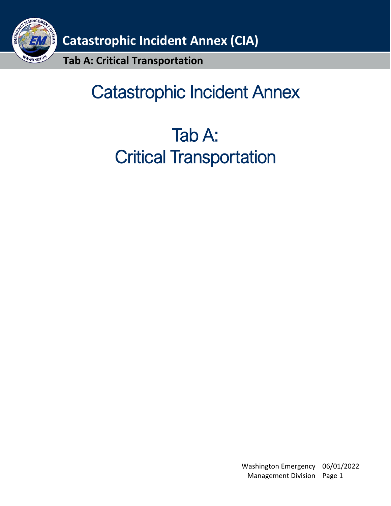

# Catastrophic Incident Annex

# Tab A: Critical Transportation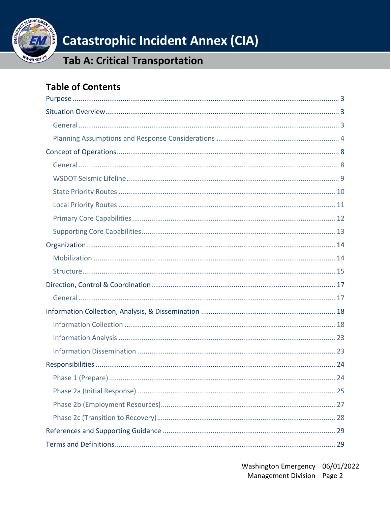

### **Tab A: Critical Transportation**

### **Table of Contents**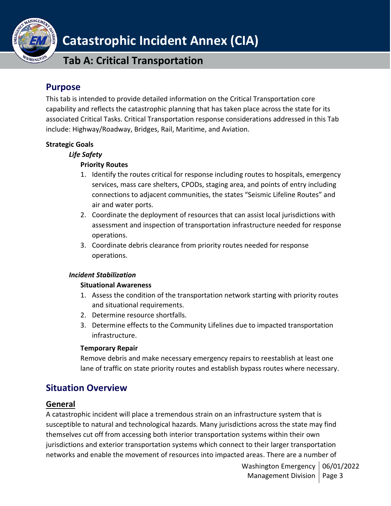

**Tab A: Critical Transportation**

### <span id="page-2-0"></span>**Purpose**

This tab is intended to provide detailed information on the Critical Transportation core capability and reflects the catastrophic planning that has taken place across the state for its associated Critical Tasks. Critical Transportation response considerations addressed in this Tab include: Highway/Roadway, Bridges, Rail, Maritime, and Aviation.

#### **Strategic Goals**

#### *Life Safety*

#### **Priority Routes**

- 1. Identify the routes critical for response including routes to hospitals, emergency services, mass care shelters, CPODs, staging area, and points of entry including connections to adjacent communities, the states "Seismic Lifeline Routes" and air and water ports.
- 2. Coordinate the deployment of resources that can assist local jurisdictions with assessment and inspection of transportation infrastructure needed for response operations.
- 3. Coordinate debris clearance from priority routes needed for response operations.

#### *Incident Stabilization*

#### **Situational Awareness**

- 1. Assess the condition of the transportation network starting with priority routes and situational requirements.
- 2. Determine resource shortfalls.
- 3. Determine effects to the Community Lifelines due to impacted transportation infrastructure.

#### **Temporary Repair**

Remove debris and make necessary emergency repairs to reestablish at least one lane of traffic on state priority routes and establish bypass routes where necessary.

### <span id="page-2-1"></span>**Situation Overview**

### <span id="page-2-2"></span>**General**

A catastrophic incident will place a tremendous strain on an infrastructure system that is susceptible to natural and technological hazards. Many jurisdictions across the state may find themselves cut off from accessing both interior transportation systems within their own jurisdictions and exterior transportation systems which connect to their larger transportation networks and enable the movement of resources into impacted areas. There are a number of

> Washington Emergency | 06/01/2022 Management Division | Page 3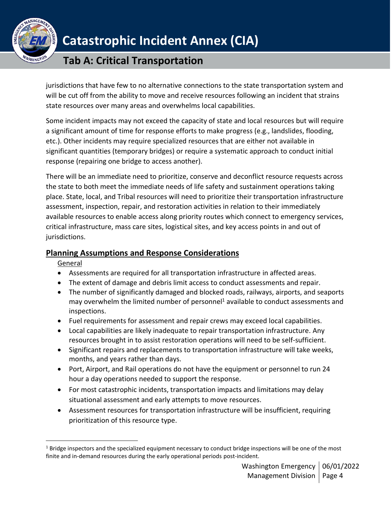

### **Tab A: Critical Transportation**

jurisdictions that have few to no alternative connections to the state transportation system and will be cut off from the ability to move and receive resources following an incident that strains state resources over many areas and overwhelms local capabilities.

Some incident impacts may not exceed the capacity of state and local resources but will require a significant amount of time for response efforts to make progress (e.g., landslides, flooding, etc.). Other incidents may require specialized resources that are either not available in significant quantities (temporary bridges) or require a systematic approach to conduct initial response (repairing one bridge to access another).

There will be an immediate need to prioritize, conserve and deconflict resource requests across the state to both meet the immediate needs of life safety and sustainment operations taking place. State, local, and Tribal resources will need to prioritize their transportation infrastructure assessment, inspection, repair, and restoration activities in relation to their immediately available resources to enable access along priority routes which connect to emergency services, critical infrastructure, mass care sites, logistical sites, and key access points in and out of jurisdictions.

### <span id="page-3-0"></span>**Planning Assumptions and Response Considerations**

**General** 

- Assessments are required for all transportation infrastructure in affected areas.
- The extent of damage and debris limit access to conduct assessments and repair.
- The number of significantly damaged and blocked roads, railways, airports, and seaports may overwhelm the limited number of personnel<sup>1</sup> available to conduct assessments and inspections.
- Fuel requirements for assessment and repair crews may exceed local capabilities.
- Local capabilities are likely inadequate to repair transportation infrastructure. Any resources brought in to assist restoration operations will need to be self-sufficient.
- Significant repairs and replacements to transportation infrastructure will take weeks, months, and years rather than days.
- Port, Airport, and Rail operations do not have the equipment or personnel to run 24 hour a day operations needed to support the response.
- For most catastrophic incidents, transportation impacts and limitations may delay situational assessment and early attempts to move resources.
- Assessment resources for transportation infrastructure will be insufficient, requiring prioritization of this resource type.

 $1$  Bridge inspectors and the specialized equipment necessary to conduct bridge inspections will be one of the most finite and in-demand resources during the early operational periods post-incident.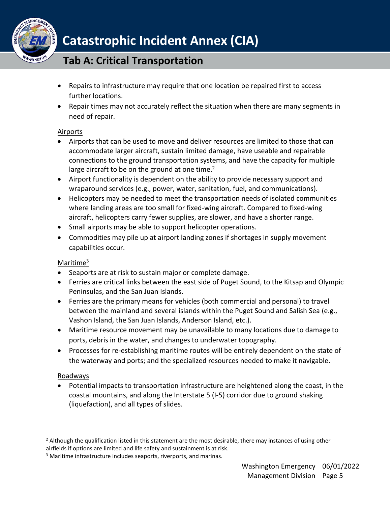

### **Tab A: Critical Transportation**

- Repairs to infrastructure may require that one location be repaired first to access further locations.
- Repair times may not accurately reflect the situation when there are many segments in need of repair.

#### Airports

- Airports that can be used to move and deliver resources are limited to those that can accommodate larger aircraft, sustain limited damage, have useable and repairable connections to the ground transportation systems, and have the capacity for multiple large aircraft to be on the ground at one time. $2$
- Airport functionality is dependent on the ability to provide necessary support and wraparound services (e.g., power, water, sanitation, fuel, and communications).
- Helicopters may be needed to meet the transportation needs of isolated communities where landing areas are too small for fixed-wing aircraft. Compared to fixed-wing aircraft, helicopters carry fewer supplies, are slower, and have a shorter range.
- Small airports may be able to support helicopter operations.
- Commodities may pile up at airport landing zones if shortages in supply movement capabilities occur.

### Maritime<sup>3</sup>

- Seaports are at risk to sustain major or complete damage.
- Ferries are critical links between the east side of Puget Sound, to the Kitsap and Olympic Peninsulas, and the San Juan Islands.
- Ferries are the primary means for vehicles (both commercial and personal) to travel between the mainland and several islands within the Puget Sound and Salish Sea (e.g., Vashon Island, the San Juan Islands, Anderson Island, etc.).
- Maritime resource movement may be unavailable to many locations due to damage to ports, debris in the water, and changes to underwater topography.
- Processes for re-establishing maritime routes will be entirely dependent on the state of the waterway and ports; and the specialized resources needed to make it navigable.

### Roadways

• Potential impacts to transportation infrastructure are heightened along the coast, in the coastal mountains, and along the Interstate 5 (I-5) corridor due to ground shaking (liquefaction), and all types of slides.

 $<sup>2</sup>$  Although the qualification listed in this statement are the most desirable, there may instances of using other</sup> airfields if options are limited and life safety and sustainment is at risk.

<sup>&</sup>lt;sup>3</sup> Maritime infrastructure includes seaports, riverports, and marinas.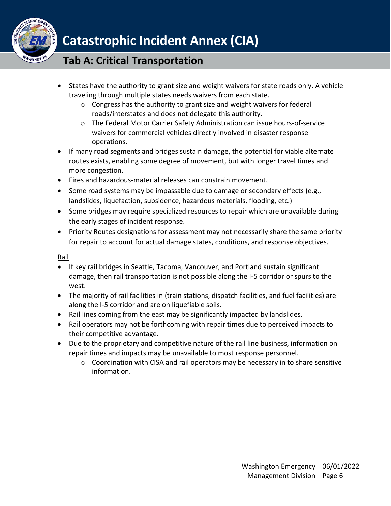

### **Tab A: Critical Transportation**

- States have the authority to grant size and weight waivers for state roads only. A vehicle traveling through multiple states needs waivers from each state.
	- o Congress has the authority to grant size and weight waivers for federal roads/interstates and does not delegate this authority.
	- o The Federal Motor Carrier Safety Administration can issue hours-of-service waivers for commercial vehicles directly involved in disaster response operations.
- If many road segments and bridges sustain damage, the potential for viable alternate routes exists, enabling some degree of movement, but with longer travel times and more congestion.
- Fires and hazardous-material releases can constrain movement.
- Some road systems may be impassable due to damage or secondary effects (e.g., landslides, liquefaction, subsidence, hazardous materials, flooding, etc.)
- Some bridges may require specialized resources to repair which are unavailable during the early stages of incident response.
- Priority Routes designations for assessment may not necessarily share the same priority for repair to account for actual damage states, conditions, and response objectives.

Rail

- If key rail bridges in Seattle, Tacoma, Vancouver, and Portland sustain significant damage, then rail transportation is not possible along the I-5 corridor or spurs to the west.
- The majority of rail facilities in (train stations, dispatch facilities, and fuel facilities) are along the I-5 corridor and are on liquefiable soils.
- Rail lines coming from the east may be significantly impacted by landslides.
- Rail operators may not be forthcoming with repair times due to perceived impacts to their competitive advantage.
- Due to the proprietary and competitive nature of the rail line business, information on repair times and impacts may be unavailable to most response personnel.
	- $\circ$  Coordination with CISA and rail operators may be necessary in to share sensitive information.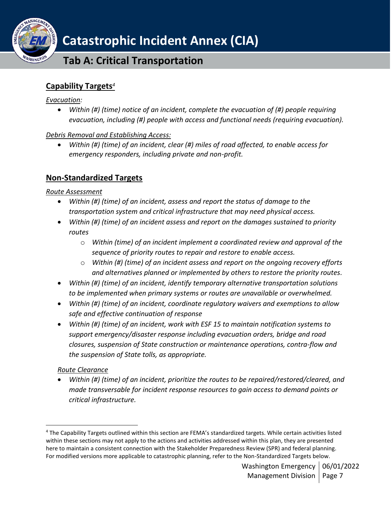

### **Tab A: Critical Transportation**

### **Capability Targets***<sup>4</sup>*

#### *Evacuation:*

**SHINGT** 

• *Within (#) (time) notice of an incident, complete the evacuation of (#) people requiring evacuation, including (#) people with access and functional needs (requiring evacuation).* 

### *Debris Removal and Establishing Access:*

• *Within (#) (time) of an incident, clear (#) miles of road affected, to enable access for emergency responders, including private and non-profit.*

### **Non-Standardized Targets**

### *Route Assessment*

- *Within (#) (time) of an incident, assess and report the status of damage to the transportation system and critical infrastructure that may need physical access.*
- *Within (#) (time) of an incident assess and report on the damages sustained to priority routes*
	- o *Within (time) of an incident implement a coordinated review and approval of the sequence of priority routes to repair and restore to enable access.*
	- o *Within (#) (time) of an incident assess and report on the ongoing recovery efforts and alternatives planned or implemented by others to restore the priority routes.*
- *Within (#) (time) of an incident, identify temporary alternative transportation solutions to be implemented when primary systems or routes are unavailable or overwhelmed.*
- *Within (#) (time) of an incident, coordinate regulatory waivers and exemptions to allow safe and effective continuation of response*
- *Within (#) (time) of an incident, work with ESF 15 to maintain notification systems to support emergency/disaster response including evacuation orders, bridge and road closures, suspension of State construction or maintenance operations, contra-flow and the suspension of State tolls, as appropriate.*

### *Route Clearance*

• *Within (#) (time) of an incident, prioritize the routes to be repaired/restored/cleared, and made transversable for incident response resources to gain access to demand points or critical infrastructure.* 

<sup>4</sup> The Capability Targets outlined within this section are FEMA's standardized targets. While certain activities listed within these sections may not apply to the actions and activities addressed within this plan, they are presented here to maintain a consistent connection with the Stakeholder Preparedness Review (SPR) and federal planning. For modified versions more applicable to catastrophic planning, refer to the Non-Standardized Targets below.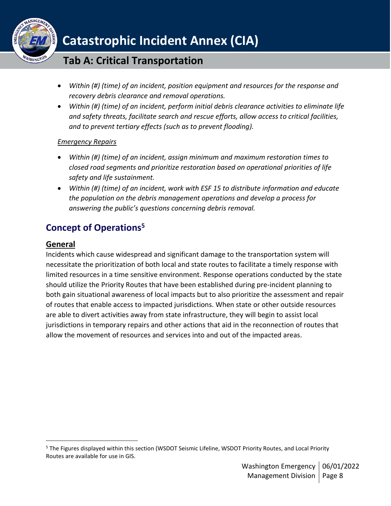

### **Tab A: Critical Transportation**

- *Within (#) (time) of an incident, position equipment and resources for the response and recovery debris clearance and removal operations.*
- *Within (#) (time) of an incident, perform initial debris clearance activities to eliminate life and safety threats, facilitate search and rescue efforts, allow access to critical facilities, and to prevent tertiary effects (such as to prevent flooding).*

#### *Emergency Repairs*

- *Within (#) (time) of an incident, assign minimum and maximum restoration times to closed road segments and prioritize restoration based on operational priorities of life safety and life sustainment.*
- *Within (#) (time) of an incident, work with ESF 15 to distribute information and educate the population on the debris management operations and develop a process for answering the public's questions concerning debris removal.*

### <span id="page-7-0"></span>**Concept of Operations<sup>5</sup>**

### <span id="page-7-1"></span>**General**

Incidents which cause widespread and significant damage to the transportation system will necessitate the prioritization of both local and state routes to facilitate a timely response with limited resources in a time sensitive environment. Response operations conducted by the state should utilize the Priority Routes that have been established during pre-incident planning to both gain situational awareness of local impacts but to also prioritize the assessment and repair of routes that enable access to impacted jurisdictions. When state or other outside resources are able to divert activities away from state infrastructure, they will begin to assist local jurisdictions in temporary repairs and other actions that aid in the reconnection of routes that allow the movement of resources and services into and out of the impacted areas.

<sup>&</sup>lt;sup>5</sup> The Figures displayed within this section (WSDOT Seismic Lifeline, WSDOT Priority Routes, and Local Priority Routes are available for use in GIS.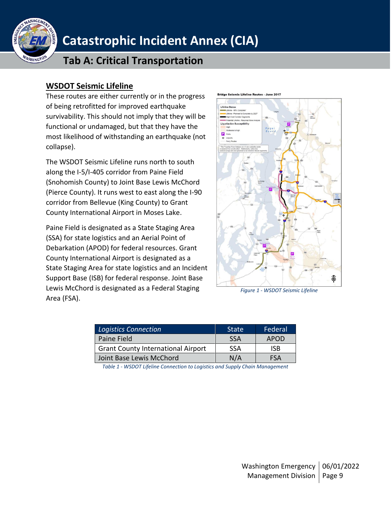

### **Tab A: Critical Transportation**

### <span id="page-8-0"></span>**WSDOT Seismic Lifeline**

These routes are either currently or in the progress of being retrofitted for improved earthquake survivability. This should not imply that they will be functional or undamaged, but that they have the most likelihood of withstanding an earthquake (not collapse).

The WSDOT Seismic Lifeline runs north to south along the I-5/I-405 corridor from Paine Field (Snohomish County) to Joint Base Lewis McChord (Pierce County). It runs west to east along the I-90 corridor from Bellevue (King County) to Grant County International Airport in Moses Lake.

Paine Field is designated as a State Staging Area (SSA) for state logistics and an Aerial Point of Debarkation (APOD) for federal resources. Grant County International Airport is designated as a State Staging Area for state logistics and an Incident Support Base (ISB) for federal response. Joint Base Lewis McChord is designated as a Federal Staging Area (FSA).



*Figure 1 - WSDOT Seismic Lifeline*

| <b>Logistics Connection</b>               | <b>State</b> | Federal    |
|-------------------------------------------|--------------|------------|
| Paine Field                               | <b>SSA</b>   | APOD       |
| <b>Grant County International Airport</b> | <b>SSA</b>   | ISB.       |
| Joint Base Lewis McChord                  | N/A          | <b>FSA</b> |

*Table 1 - WSDOT Lifeline Connection to Logistics and Supply Chain Management*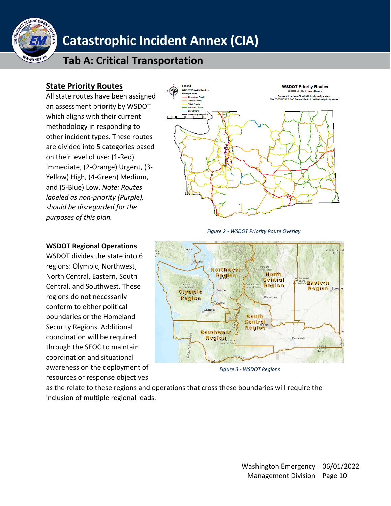

### **Tab A: Critical Transportation**

### <span id="page-9-0"></span>**State Priority Routes**

All state routes have been assigned an assessment priority by WSDOT which aligns with their current methodology in responding to other incident types. These routes are divided into 5 categories based on their level of use: (1-Red) Immediate, (2-Orange) Urgent, (3- Yellow) High, (4-Green) Medium, and (5-Blue) Low. *Note: Routes labeled as non-priority (Purple), should be disregarded for the purposes of this plan.*



 *Figure 2 - WSDOT Priority Route Overlay*



*Figure 3 - WSDOT Regions*

as the relate to these regions and operations that cross these boundaries will require the inclusion of multiple regional leads.

### **WSDOT Regional Operations**

WSDOT divides the state into 6 regions: Olympic, Northwest, North Central, Eastern, South Central, and Southwest. These regions do not necessarily conform to either political boundaries or the Homeland Security Regions. Additional coordination will be required through the SEOC to maintain coordination and situational awareness on the deployment of resources or response objectives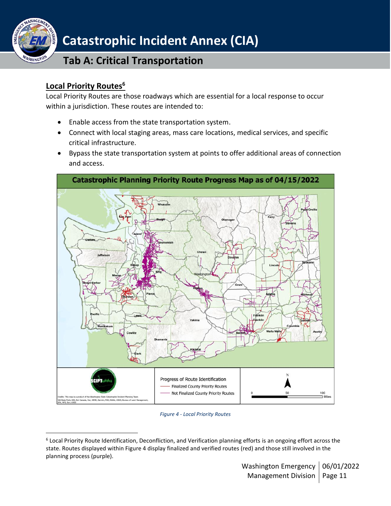

### **Tab A: Critical Transportation**

### <span id="page-10-0"></span>**Local Priority Routes<sup>6</sup>**

Local Priority Routes are those roadways which are essential for a local response to occur within a jurisdiction. These routes are intended to:

- Enable access from the state transportation system.
- Connect with local staging areas, mass care locations, medical services, and specific critical infrastructure.
- Bypass the state transportation system at points to offer additional areas of connection and access.



#### *Figure 4 - Local Priority Routes*

<sup>6</sup> Local Priority Route Identification, Deconfliction, and Verification planning efforts is an ongoing effort across the state. Routes displayed within Figure 4 display finalized and verified routes (red) and those still involved in the planning process (purple).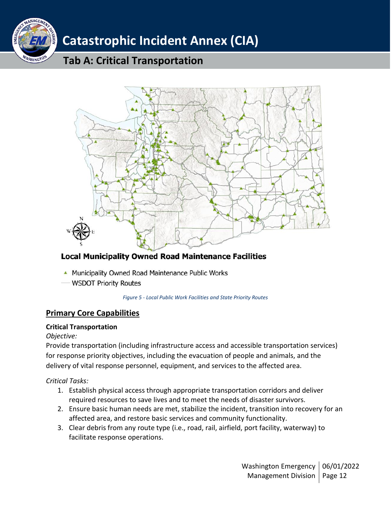



### **Local Municipality Owned Road Maintenance Facilities**

- A Municipality Owned Road Maintenance Public Works
- WSDOT Priority Routes

*Figure 5 - Local Public Work Facilities and State Priority Routes*

### <span id="page-11-0"></span>**Primary Core Capabilities**

#### **Critical Transportation**

#### *Objective:*

Provide transportation (including infrastructure access and accessible transportation services) for response priority objectives, including the evacuation of people and animals, and the delivery of vital response personnel, equipment, and services to the affected area.

### *Critical Tasks:*

- 1. Establish physical access through appropriate transportation corridors and deliver required resources to save lives and to meet the needs of disaster survivors.
- 2. Ensure basic human needs are met, stabilize the incident, transition into recovery for an affected area, and restore basic services and community functionality.
- 3. Clear debris from any route type (i.e., road, rail, airfield, port facility, waterway) to facilitate response operations.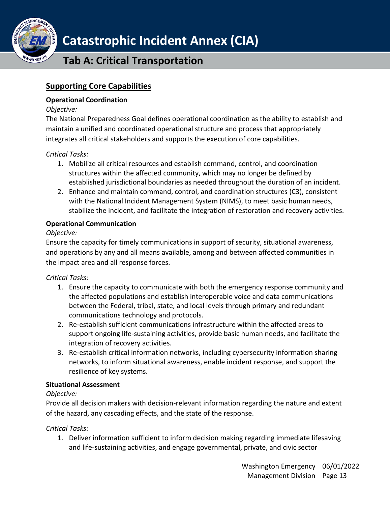

**Tab A: Critical Transportation**

### <span id="page-12-0"></span>**Supporting Core Capabilities**

#### **Operational Coordination**

#### *Objective:*

The National Preparedness Goal defines operational coordination as the ability to establish and maintain a unified and coordinated operational structure and process that appropriately integrates all critical stakeholders and supports the execution of core capabilities.

### *Critical Tasks:*

- 1. Mobilize all critical resources and establish command, control, and coordination structures within the affected community, which may no longer be defined by established jurisdictional boundaries as needed throughout the duration of an incident.
- 2. Enhance and maintain command, control, and coordination structures (C3), consistent with the National Incident Management System (NIMS), to meet basic human needs, stabilize the incident, and facilitate the integration of restoration and recovery activities.

#### **Operational Communication**

### *Objective:*

Ensure the capacity for timely communications in support of security, situational awareness, and operations by any and all means available, among and between affected communities in the impact area and all response forces.

### *Critical Tasks:*

- 1. Ensure the capacity to communicate with both the emergency response community and the affected populations and establish interoperable voice and data communications between the Federal, tribal, state, and local levels through primary and redundant communications technology and protocols.
- 2. Re-establish sufficient communications infrastructure within the affected areas to support ongoing life-sustaining activities, provide basic human needs, and facilitate the integration of recovery activities.
- 3. Re-establish critical information networks, including cybersecurity information sharing networks, to inform situational awareness, enable incident response, and support the resilience of key systems.

### **Situational Assessment**

### *Objective:*

Provide all decision makers with decision-relevant information regarding the nature and extent of the hazard, any cascading effects, and the state of the response.

### *Critical Tasks:*

1. Deliver information sufficient to inform decision making regarding immediate lifesaving and life-sustaining activities, and engage governmental, private, and civic sector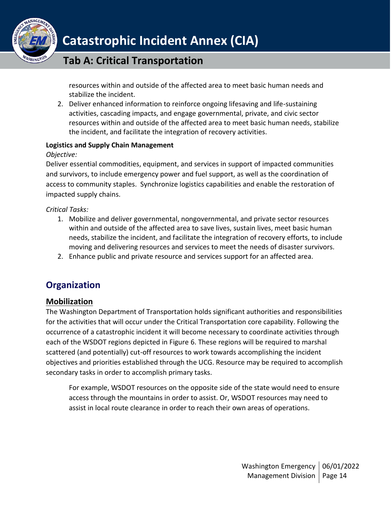

### **Tab A: Critical Transportation**

resources within and outside of the affected area to meet basic human needs and stabilize the incident.

2. Deliver enhanced information to reinforce ongoing lifesaving and life-sustaining activities, cascading impacts, and engage governmental, private, and civic sector resources within and outside of the affected area to meet basic human needs, stabilize the incident, and facilitate the integration of recovery activities.

#### **Logistics and Supply Chain Management**

### *Objective:*

Deliver essential commodities, equipment, and services in support of impacted communities and survivors, to include emergency power and fuel support, as well as the coordination of access to community staples. Synchronize logistics capabilities and enable the restoration of impacted supply chains.

*Critical Tasks:*

- 1. Mobilize and deliver governmental, nongovernmental, and private sector resources within and outside of the affected area to save lives, sustain lives, meet basic human needs, stabilize the incident, and facilitate the integration of recovery efforts, to include moving and delivering resources and services to meet the needs of disaster survivors.
- 2. Enhance public and private resource and services support for an affected area.

### <span id="page-13-0"></span>**Organization**

### <span id="page-13-1"></span>**Mobilization**

The Washington Department of Transportation holds significant authorities and responsibilities for the activities that will occur under the Critical Transportation core capability. Following the occurrence of a catastrophic incident it will become necessary to coordinate activities through each of the WSDOT regions depicted in Figure 6. These regions will be required to marshal scattered (and potentially) cut-off resources to work towards accomplishing the incident objectives and priorities established through the UCG. Resource may be required to accomplish secondary tasks in order to accomplish primary tasks.

For example, WSDOT resources on the opposite side of the state would need to ensure access through the mountains in order to assist. Or, WSDOT resources may need to assist in local route clearance in order to reach their own areas of operations.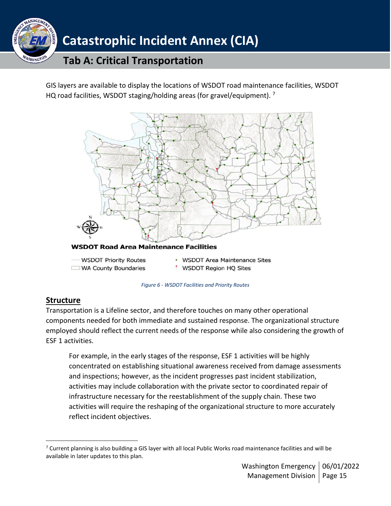

GIS layers are available to display the locations of WSDOT road maintenance facilities, WSDOT HQ road facilities, WSDOT staging/holding areas (for gravel/equipment).  $^7$ 



*Figure 6 - WSDOT Facilities and Priority Routes*

### <span id="page-14-0"></span>**Structure**

Transportation is a Lifeline sector, and therefore touches on many other operational components needed for both immediate and sustained response. The organizational structure employed should reflect the current needs of the response while also considering the growth of ESF 1 activities.

For example, in the early stages of the response, ESF 1 activities will be highly concentrated on establishing situational awareness received from damage assessments and inspections; however, as the incident progresses past incident stabilization, activities may include collaboration with the private sector to coordinated repair of infrastructure necessary for the reestablishment of the supply chain. These two activities will require the reshaping of the organizational structure to more accurately reflect incident objectives.

 $7$  Current planning is also building a GIS layer with all local Public Works road maintenance facilities and will be available in later updates to this plan.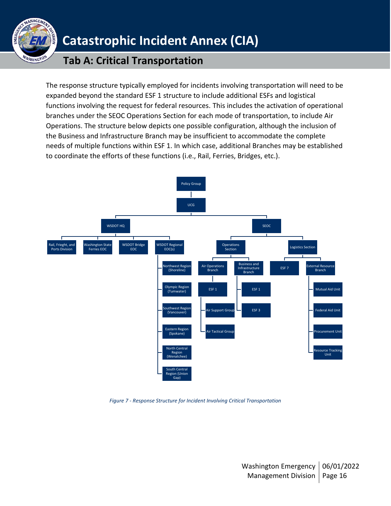

### **Tab A: Critical Transportation**

The response structure typically employed for incidents involving transportation will need to be expanded beyond the standard ESF 1 structure to include additional ESFs and logistical functions involving the request for federal resources. This includes the activation of operational branches under the SEOC Operations Section for each mode of transportation, to include Air Operations. The structure below depicts one possible configuration, although the inclusion of the Business and Infrastructure Branch may be insufficient to accommodate the complete needs of multiple functions within ESF 1. In which case, additional Branches may be established to coordinate the efforts of these functions (i.e., Rail, Ferries, Bridges, etc.).



*Figure 7 - Response Structure for Incident Involving Critical Transportation*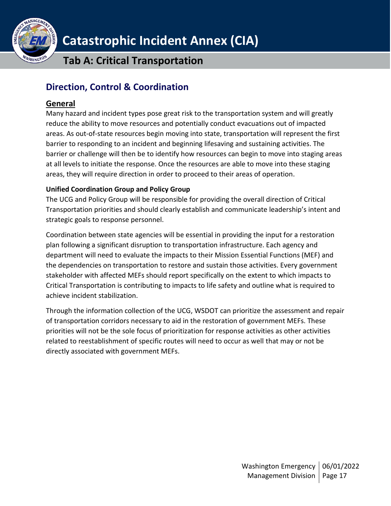

**Tab A: Critical Transportation**

### <span id="page-16-0"></span>**Direction, Control & Coordination**

### <span id="page-16-1"></span>**General**

Many hazard and incident types pose great risk to the transportation system and will greatly reduce the ability to move resources and potentially conduct evacuations out of impacted areas. As out-of-state resources begin moving into state, transportation will represent the first barrier to responding to an incident and beginning lifesaving and sustaining activities. The barrier or challenge will then be to identify how resources can begin to move into staging areas at all levels to initiate the response. Once the resources are able to move into these staging areas, they will require direction in order to proceed to their areas of operation.

### **Unified Coordination Group and Policy Group**

The UCG and Policy Group will be responsible for providing the overall direction of Critical Transportation priorities and should clearly establish and communicate leadership's intent and strategic goals to response personnel.

Coordination between state agencies will be essential in providing the input for a restoration plan following a significant disruption to transportation infrastructure. Each agency and department will need to evaluate the impacts to their Mission Essential Functions (MEF) and the dependencies on transportation to restore and sustain those activities. Every government stakeholder with affected MEFs should report specifically on the extent to which impacts to Critical Transportation is contributing to impacts to life safety and outline what is required to achieve incident stabilization.

Through the information collection of the UCG, WSDOT can prioritize the assessment and repair of transportation corridors necessary to aid in the restoration of government MEFs. These priorities will not be the sole focus of prioritization for response activities as other activities related to reestablishment of specific routes will need to occur as well that may or not be directly associated with government MEFs.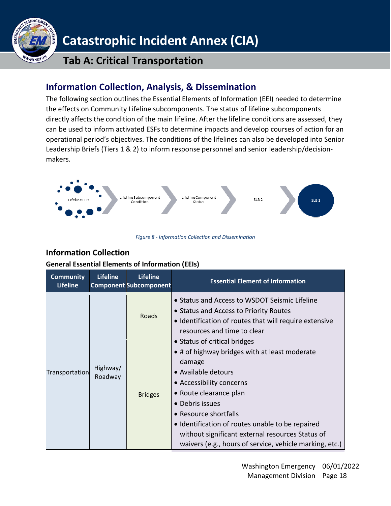

### **Tab A: Critical Transportation**

### <span id="page-17-0"></span>**Information Collection, Analysis, & Dissemination**

The following section outlines the Essential Elements of Information (EEI) needed to determine the effects on Community Lifeline subcomponents. The status of lifeline subcomponents directly affects the condition of the main lifeline. After the lifeline conditions are assessed, they can be used to inform activated ESFs to determine impacts and develop courses of action for an operational period's objectives. The conditions of the lifelines can also be developed into Senior Leadership Briefs (Tiers 1 & 2) to inform response personnel and senior leadership/decisionmakers.



*Figure 8 - Information Collection and Dissemination*

### <span id="page-17-1"></span>**Information Collection**

### **General Essential Elements of Information (EEIs)**

| <b>Community</b><br><b>Lifeline</b> | <b>Lifeline</b>     | <b>Lifeline</b><br><b>Component Subcomponent</b> | <b>Essential Element of Information</b>                                                                                                                                                                                                                                                                                                                                             |
|-------------------------------------|---------------------|--------------------------------------------------|-------------------------------------------------------------------------------------------------------------------------------------------------------------------------------------------------------------------------------------------------------------------------------------------------------------------------------------------------------------------------------------|
|                                     |                     | Roads                                            | • Status and Access to WSDOT Seismic Lifeline<br>• Status and Access to Priority Routes<br>• Identification of routes that will require extensive<br>resources and time to clear                                                                                                                                                                                                    |
| Transportation                      | Highway/<br>Roadway | <b>Bridges</b>                                   | • Status of critical bridges<br>• # of highway bridges with at least moderate<br>damage<br>• Available detours<br>• Accessibility concerns<br>• Route clearance plan<br>• Debris issues<br>• Resource shortfalls<br>• Identification of routes unable to be repaired<br>without significant external resources Status of<br>waivers (e.g., hours of service, vehicle marking, etc.) |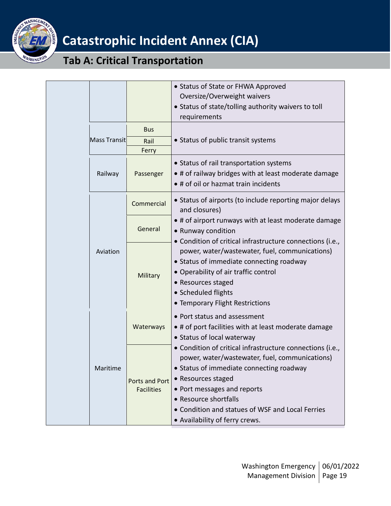

## **Tab A: Critical Transportation**

|  | Mass Transit | <b>Bus</b><br>Rail<br>Ferry         | • Status of State or FHWA Approved<br>Oversize/Overweight waivers<br>• Status of state/tolling authority waivers to toll<br>requirements<br>• Status of public transit systems                                                                                                                                              |
|--|--------------|-------------------------------------|-----------------------------------------------------------------------------------------------------------------------------------------------------------------------------------------------------------------------------------------------------------------------------------------------------------------------------|
|  | Railway      | Passenger                           | • Status of rail transportation systems<br>• # of railway bridges with at least moderate damage<br>• # of oil or hazmat train incidents                                                                                                                                                                                     |
|  |              | Commercial                          | • Status of airports (to include reporting major delays<br>and closures)                                                                                                                                                                                                                                                    |
|  |              | General                             | • # of airport runways with at least moderate damage<br>• Runway condition                                                                                                                                                                                                                                                  |
|  | Aviation     | Military                            | • Condition of critical infrastructure connections (i.e.,<br>power, water/wastewater, fuel, communications)<br>• Status of immediate connecting roadway<br>• Operability of air traffic control<br>• Resources staged<br>• Scheduled flights<br>• Temporary Flight Restrictions                                             |
|  |              | Waterways                           | • Port status and assessment<br>. # of port facilities with at least moderate damage<br>• Status of local waterway                                                                                                                                                                                                          |
|  | Maritime     | Ports and Port<br><b>Facilities</b> | • Condition of critical infrastructure connections (i.e.,<br>power, water/wastewater, fuel, communications)<br>• Status of immediate connecting roadway<br>• Resources staged<br>• Port messages and reports<br>• Resource shortfalls<br>• Condition and statues of WSF and Local Ferries<br>• Availability of ferry crews. |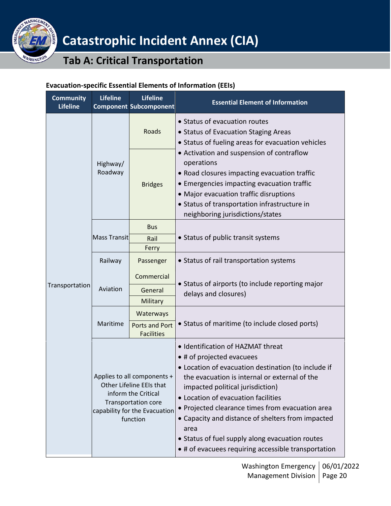

### **Tab A: Critical Transportation**

### **Evacuation-specific Essential Elements of Information (EEIs)**

| <b>Community</b><br><b>Lifeline</b> | <b>Lifeline</b>                                                                                                                                           | <b>Lifeline</b><br><b>Component Subcomponent</b> | <b>Essential Element of Information</b>                                                                                                                                                                                                                                                                                                                                                                                                                                      |
|-------------------------------------|-----------------------------------------------------------------------------------------------------------------------------------------------------------|--------------------------------------------------|------------------------------------------------------------------------------------------------------------------------------------------------------------------------------------------------------------------------------------------------------------------------------------------------------------------------------------------------------------------------------------------------------------------------------------------------------------------------------|
|                                     |                                                                                                                                                           | Roads                                            | • Status of evacuation routes<br>• Status of Evacuation Staging Areas                                                                                                                                                                                                                                                                                                                                                                                                        |
|                                     |                                                                                                                                                           |                                                  | • Status of fueling areas for evacuation vehicles                                                                                                                                                                                                                                                                                                                                                                                                                            |
|                                     | Highway/<br>Roadway                                                                                                                                       | <b>Bridges</b>                                   | • Activation and suspension of contraflow<br>operations<br>• Road closures impacting evacuation traffic<br>• Emergencies impacting evacuation traffic<br>• Major evacuation traffic disruptions<br>• Status of transportation infrastructure in<br>neighboring jurisdictions/states                                                                                                                                                                                          |
|                                     |                                                                                                                                                           | <b>Bus</b>                                       |                                                                                                                                                                                                                                                                                                                                                                                                                                                                              |
|                                     | Mass Transit                                                                                                                                              | Rail<br>Ferry                                    | • Status of public transit systems                                                                                                                                                                                                                                                                                                                                                                                                                                           |
|                                     | Railway                                                                                                                                                   | Passenger                                        | • Status of rail transportation systems                                                                                                                                                                                                                                                                                                                                                                                                                                      |
|                                     | Aviation                                                                                                                                                  | Commercial                                       | • Status of airports (to include reporting major                                                                                                                                                                                                                                                                                                                                                                                                                             |
| Transportation                      |                                                                                                                                                           | General                                          | delays and closures)                                                                                                                                                                                                                                                                                                                                                                                                                                                         |
|                                     |                                                                                                                                                           | Military                                         |                                                                                                                                                                                                                                                                                                                                                                                                                                                                              |
|                                     |                                                                                                                                                           | Waterways                                        |                                                                                                                                                                                                                                                                                                                                                                                                                                                                              |
|                                     | Maritime                                                                                                                                                  | <b>Ports and Port</b><br><b>Facilities</b>       | • Status of maritime (to include closed ports)                                                                                                                                                                                                                                                                                                                                                                                                                               |
|                                     | Applies to all components +<br>Other Lifeline EEIs that<br>inform the Critical<br><b>Transportation core</b><br>capability for the Evacuation<br>function |                                                  | • Identification of HAZMAT threat<br>• # of projected evacuees<br>• Location of evacuation destination (to include if<br>the evacuation is internal or external of the<br>impacted political jurisdiction)<br>• Location of evacuation facilities<br>• Projected clearance times from evacuation area<br>• Capacity and distance of shelters from impacted<br>area<br>• Status of fuel supply along evacuation routes<br>• # of evacuees requiring accessible transportation |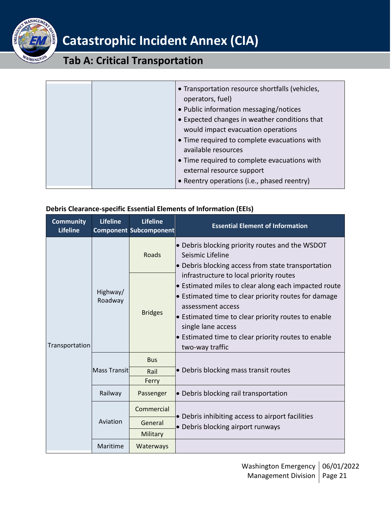

### **Tab A: Critical Transportation**

|  | • Transportation resource shortfalls (vehicles,<br>operators, fuel)<br>• Public information messaging/notices<br>• Expected changes in weather conditions that<br>would impact evacuation operations<br>• Time required to complete evacuations with |
|--|------------------------------------------------------------------------------------------------------------------------------------------------------------------------------------------------------------------------------------------------------|
|  | available resources<br>• Time required to complete evacuations with<br>external resource support<br>• Reentry operations (i.e., phased reentry)                                                                                                      |

#### **Debris Clearance-specific Essential Elements of Information (EEIs)**

| <b>Community</b><br><b>Lifeline</b> | <b>Lifeline</b>     | <b>Lifeline</b><br><b>Component Subcomponent</b> | <b>Essential Element of Information</b>                                                                                                                                                                                                                                                                                             |
|-------------------------------------|---------------------|--------------------------------------------------|-------------------------------------------------------------------------------------------------------------------------------------------------------------------------------------------------------------------------------------------------------------------------------------------------------------------------------------|
| Transportation                      | Highway/<br>Roadway | Roads                                            | • Debris blocking priority routes and the WSDOT<br>Seismic Lifeline<br>• Debris blocking access from state transportation                                                                                                                                                                                                           |
|                                     |                     | <b>Bridges</b>                                   | infrastructure to local priority routes<br>• Estimated miles to clear along each impacted route<br>• Estimated time to clear priority routes for damage<br>assessment access<br>• Estimated time to clear priority routes to enable<br>single lane access<br>• Estimated time to clear priority routes to enable<br>two-way traffic |
|                                     | Mass Transit        | <b>Bus</b><br>Rail<br>Ferry                      | • Debris blocking mass transit routes                                                                                                                                                                                                                                                                                               |
|                                     | Railway             | Passenger                                        | • Debris blocking rail transportation                                                                                                                                                                                                                                                                                               |
|                                     | Aviation            | Commercial                                       | • Debris inhibiting access to airport facilities                                                                                                                                                                                                                                                                                    |
|                                     |                     | General                                          | • Debris blocking airport runways                                                                                                                                                                                                                                                                                                   |
|                                     | Maritime            | Military<br>Waterways                            |                                                                                                                                                                                                                                                                                                                                     |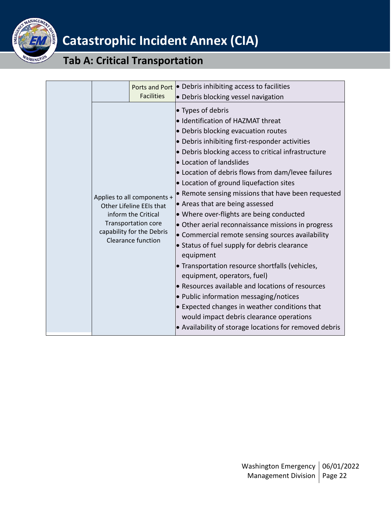

## **Tab A: Critical Transportation**

|  |                                                                                                                                                                        | Ports and Port • Debris inhibiting access to facilities                                                                                                                                                                                                                                                                                                                                                                                                                                                                                                                                                                                                                                                                                                                                                                                                                                                                                                                                |
|--|------------------------------------------------------------------------------------------------------------------------------------------------------------------------|----------------------------------------------------------------------------------------------------------------------------------------------------------------------------------------------------------------------------------------------------------------------------------------------------------------------------------------------------------------------------------------------------------------------------------------------------------------------------------------------------------------------------------------------------------------------------------------------------------------------------------------------------------------------------------------------------------------------------------------------------------------------------------------------------------------------------------------------------------------------------------------------------------------------------------------------------------------------------------------|
|  | <b>Facilities</b>                                                                                                                                                      | • Debris blocking vessel navigation                                                                                                                                                                                                                                                                                                                                                                                                                                                                                                                                                                                                                                                                                                                                                                                                                                                                                                                                                    |
|  | Applies to all components +<br>Other Lifeline EEIs that<br>inform the Critical<br><b>Transportation core</b><br>capability for the Debris<br><b>Clearance function</b> | • Types of debris<br>• Identification of HAZMAT threat<br>• Debris blocking evacuation routes<br>• Debris inhibiting first-responder activities<br>• Debris blocking access to critical infrastructure<br>• Location of landslides<br>• Location of debris flows from dam/levee failures<br>• Location of ground liquefaction sites<br>• Remote sensing missions that have been requested<br>• Areas that are being assessed<br>• Where over-flights are being conducted<br>• Other aerial reconnaissance missions in progress<br>• Commercial remote sensing sources availability<br>• Status of fuel supply for debris clearance<br>equipment<br>• Transportation resource shortfalls (vehicles,<br>equipment, operators, fuel)<br>• Resources available and locations of resources<br>• Public information messaging/notices<br>• Expected changes in weather conditions that<br>would impact debris clearance operations<br>• Availability of storage locations for removed debris |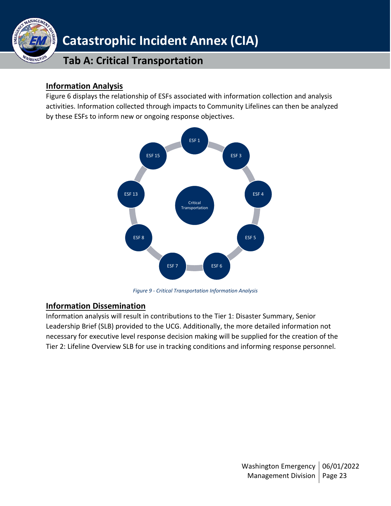

### <span id="page-22-0"></span>**Information Analysis**

Figure 6 displays the relationship of ESFs associated with information collection and analysis activities. Information collected through impacts to Community Lifelines can then be analyzed by these ESFs to inform new or ongoing response objectives.



*Figure 9 - Critical Transportation Information Analysis*

### <span id="page-22-1"></span>**Information Dissemination**

Information analysis will result in contributions to the Tier 1: Disaster Summary, Senior Leadership Brief (SLB) provided to the UCG. Additionally, the more detailed information not necessary for executive level response decision making will be supplied for the creation of the Tier 2: Lifeline Overview SLB for use in tracking conditions and informing response personnel.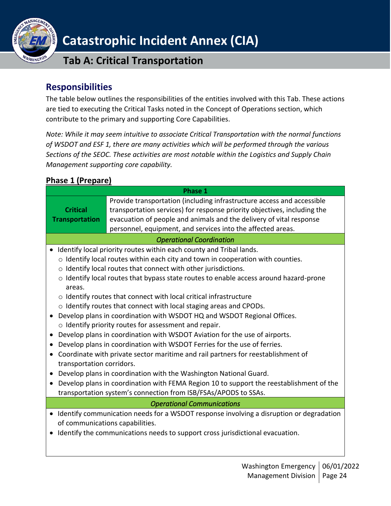

### **Tab A: Critical Transportation**

### <span id="page-23-0"></span>**Responsibilities**

The table below outlines the responsibilities of the entities involved with this Tab. These actions are tied to executing the Critical Tasks noted in the Concept of Operations section, which contribute to the primary and supporting Core Capabilities.

*Note: While it may seem intuitive to associate Critical Transportation with the normal functions of WSDOT and ESF 1, there are many activities which will be performed through the various Sections of the SEOC. These activities are most notable within the Logistics and Supply Chain Management supporting core capability.*

### <span id="page-23-1"></span>**Phase 1 (Prepare)**

|                                                                                         | <b>Phase 1</b>                                                                                                                                                                                                                                                                                                                                                                                                                                                                                                                                                                                                                                                                                                                                                                                                                                                                                                                                                                                                                                                                                |
|-----------------------------------------------------------------------------------------|-----------------------------------------------------------------------------------------------------------------------------------------------------------------------------------------------------------------------------------------------------------------------------------------------------------------------------------------------------------------------------------------------------------------------------------------------------------------------------------------------------------------------------------------------------------------------------------------------------------------------------------------------------------------------------------------------------------------------------------------------------------------------------------------------------------------------------------------------------------------------------------------------------------------------------------------------------------------------------------------------------------------------------------------------------------------------------------------------|
| <b>Critical</b><br><b>Transportation</b>                                                | Provide transportation (including infrastructure access and accessible<br>transportation services) for response priority objectives, including the<br>evacuation of people and animals and the delivery of vital response<br>personnel, equipment, and services into the affected areas.                                                                                                                                                                                                                                                                                                                                                                                                                                                                                                                                                                                                                                                                                                                                                                                                      |
|                                                                                         | <b>Operational Coordination</b>                                                                                                                                                                                                                                                                                                                                                                                                                                                                                                                                                                                                                                                                                                                                                                                                                                                                                                                                                                                                                                                               |
| $\bullet$<br>areas.<br>$\bullet$<br>transportation corridors.<br>$\bullet$<br>$\bullet$ | Identify local priority routes within each county and Tribal lands.<br>$\circ$ Identify local routes within each city and town in cooperation with counties.<br>o Identify local routes that connect with other jurisdictions.<br>$\circ$ Identify local routes that bypass state routes to enable access around hazard-prone<br>o Identify routes that connect with local critical infrastructure<br>o Identify routes that connect with local staging areas and CPODs.<br>Develop plans in coordination with WSDOT HQ and WSDOT Regional Offices.<br>o Identify priority routes for assessment and repair.<br>Develop plans in coordination with WSDOT Aviation for the use of airports.<br>Develop plans in coordination with WSDOT Ferries for the use of ferries.<br>Coordinate with private sector maritime and rail partners for reestablishment of<br>Develop plans in coordination with the Washington National Guard.<br>Develop plans in coordination with FEMA Region 10 to support the reestablishment of the<br>transportation system's connection from ISB/FSAs/APODS to SSAs. |
|                                                                                         | <b>Operational Communications</b>                                                                                                                                                                                                                                                                                                                                                                                                                                                                                                                                                                                                                                                                                                                                                                                                                                                                                                                                                                                                                                                             |
| $\bullet$                                                                               | Identify communication needs for a WSDOT response involving a disruption or degradation<br>of communications capabilities.<br>Identify the communications needs to support cross jurisdictional evacuation.                                                                                                                                                                                                                                                                                                                                                                                                                                                                                                                                                                                                                                                                                                                                                                                                                                                                                   |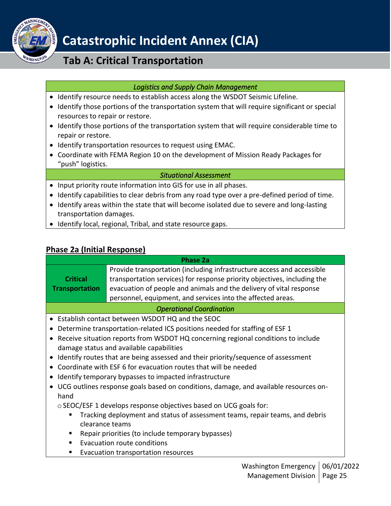

### **Tab A: Critical Transportation**

### *Logistics and Supply Chain Management*

- Identify resource needs to establish access along the WSDOT Seismic Lifeline.
- Identify those portions of the transportation system that will require significant or special resources to repair or restore.
- Identify those portions of the transportation system that will require considerable time to repair or restore.
- Identify transportation resources to request using EMAC.
- Coordinate with FEMA Region 10 on the development of Mission Ready Packages for "push" logistics.

#### *Situational Assessment*

- Input priority route information into GIS for use in all phases.
- Identify capabilities to clear debris from any road type over a pre-defined period of time.
- Identify areas within the state that will become isolated due to severe and long-lasting transportation damages.
- Identify local, regional, Tribal, and state resource gaps.

### <span id="page-24-0"></span>**Phase 2a (Initial Response)**

|                                                        | <b>Phase 2a</b>                                                                                                                                                                                                                                                                          |  |
|--------------------------------------------------------|------------------------------------------------------------------------------------------------------------------------------------------------------------------------------------------------------------------------------------------------------------------------------------------|--|
| <b>Critical</b><br><b>Transportation</b>               | Provide transportation (including infrastructure access and accessible<br>transportation services) for response priority objectives, including the<br>evacuation of people and animals and the delivery of vital response<br>personnel, equipment, and services into the affected areas. |  |
|                                                        | <b>Operational Coordination</b>                                                                                                                                                                                                                                                          |  |
| $\bullet$                                              | Establish contact between WSDOT HQ and the SEOC                                                                                                                                                                                                                                          |  |
| $\bullet$                                              | Determine transportation-related ICS positions needed for staffing of ESF 1                                                                                                                                                                                                              |  |
| $\bullet$                                              | Receive situation reports from WSDOT HQ concerning regional conditions to include<br>damage status and available capabilities                                                                                                                                                            |  |
| $\bullet$                                              | Identify routes that are being assessed and their priority/sequence of assessment                                                                                                                                                                                                        |  |
| $\bullet$                                              | Coordinate with ESF 6 for evacuation routes that will be needed                                                                                                                                                                                                                          |  |
| Identify temporary bypasses to impacted infrastructure |                                                                                                                                                                                                                                                                                          |  |
| $\bullet$<br>hand                                      | UCG outlines response goals based on conditions, damage, and available resources on-                                                                                                                                                                                                     |  |
|                                                        | o SEOC/ESF 1 develops response objectives based on UCG goals for:                                                                                                                                                                                                                        |  |
|                                                        | Tracking deployment and status of assessment teams, repair teams, and debris<br>clearance teams                                                                                                                                                                                          |  |
| п                                                      | Repair priorities (to include temporary bypasses)                                                                                                                                                                                                                                        |  |
| п                                                      | Evacuation route conditions                                                                                                                                                                                                                                                              |  |
|                                                        | Evacuation transportation resources                                                                                                                                                                                                                                                      |  |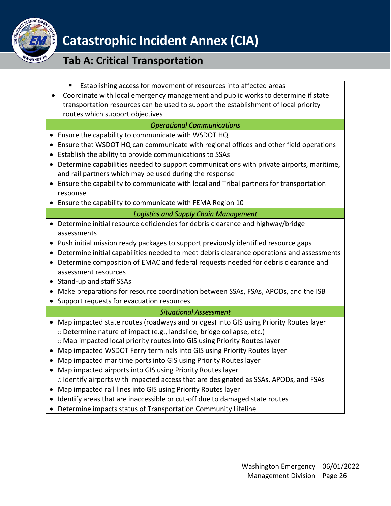

### **Tab A: Critical Transportation**

- Establishing access for movement of resources into affected areas
- Coordinate with local emergency management and public works to determine if state transportation resources can be used to support the establishment of local priority routes which support objectives

#### *Operational Communications*

- Ensure the capability to communicate with WSDOT HQ
- Ensure that WSDOT HQ can communicate with regional offices and other field operations
- Establish the ability to provide communications to SSAs
- Determine capabilities needed to support communications with private airports, maritime, and rail partners which may be used during the response
- Ensure the capability to communicate with local and Tribal partners for transportation response
- Ensure the capability to communicate with FEMA Region 10

### *Logistics and Supply Chain Management*

- Determine initial resource deficiencies for debris clearance and highway/bridge assessments
- Push initial mission ready packages to support previously identified resource gaps
- Determine initial capabilities needed to meet debris clearance operations and assessments
- Determine composition of EMAC and federal requests needed for debris clearance and assessment resources
- Stand-up and staff SSAs
- Make preparations for resource coordination between SSAs, FSAs, APODs, and the ISB
- Support requests for evacuation resources

### *Situational Assessment*

- Map impacted state routes (roadways and bridges) into GIS using Priority Routes layer oDetermine nature of impact (e.g., landslide, bridge collapse, etc.) o Map impacted local priority routes into GIS using Priority Routes layer
- Map impacted WSDOT Ferry terminals into GIS using Priority Routes layer
- Map impacted maritime ports into GIS using Priority Routes layer
- Map impacted airports into GIS using Priority Routes layer o Identify airports with impacted access that are designated as SSAs, APODs, and FSAs
- Map impacted rail lines into GIS using Priority Routes layer
- Identify areas that are inaccessible or cut-off due to damaged state routes
- Determine impacts status of Transportation Community Lifeline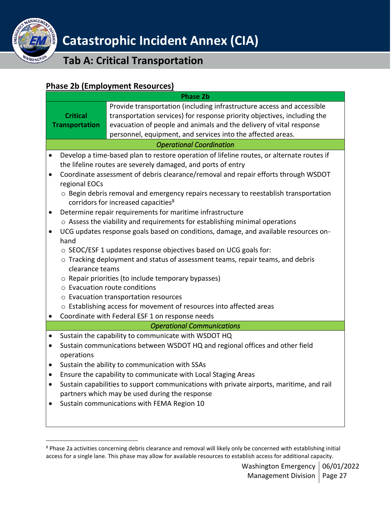

### **Tab A: Critical Transportation**

### <span id="page-26-0"></span>**Phase 2b (Employment Resources)**

|                       | <b>Phase 2b</b>                                                                                                                                 |  |  |  |
|-----------------------|-------------------------------------------------------------------------------------------------------------------------------------------------|--|--|--|
|                       | Provide transportation (including infrastructure access and accessible                                                                          |  |  |  |
| <b>Critical</b>       | transportation services) for response priority objectives, including the<br>evacuation of people and animals and the delivery of vital response |  |  |  |
| <b>Transportation</b> | personnel, equipment, and services into the affected areas.                                                                                     |  |  |  |
|                       | <b>Operational Coordination</b>                                                                                                                 |  |  |  |
|                       | Develop a time-based plan to restore operation of lifeline routes, or alternate routes if                                                       |  |  |  |
|                       | the lifeline routes are severely damaged, and ports of entry                                                                                    |  |  |  |
|                       | Coordinate assessment of debris clearance/removal and repair efforts through WSDOT                                                              |  |  |  |
| regional EOCs         |                                                                                                                                                 |  |  |  |
|                       | $\circ$ Begin debris removal and emergency repairs necessary to reestablish transportation                                                      |  |  |  |
|                       | corridors for increased capacities <sup>8</sup>                                                                                                 |  |  |  |
|                       | Determine repair requirements for maritime infrastructure                                                                                       |  |  |  |
|                       | o Assess the viability and requirements for establishing minimal operations                                                                     |  |  |  |
|                       | UCG updates response goals based on conditions, damage, and available resources on-                                                             |  |  |  |
| hand                  |                                                                                                                                                 |  |  |  |
|                       | o SEOC/ESF 1 updates response objectives based on UCG goals for:                                                                                |  |  |  |
|                       | o Tracking deployment and status of assessment teams, repair teams, and debris                                                                  |  |  |  |
| clearance teams       |                                                                                                                                                 |  |  |  |
|                       | $\circ$ Repair priorities (to include temporary bypasses)<br>$\circ$ Evacuation route conditions                                                |  |  |  |
|                       | o Evacuation transportation resources                                                                                                           |  |  |  |
|                       | o Establishing access for movement of resources into affected areas                                                                             |  |  |  |
|                       | Coordinate with Federal ESF 1 on response needs                                                                                                 |  |  |  |
|                       | <b>Operational Communications</b>                                                                                                               |  |  |  |
|                       | Sustain the capability to communicate with WSDOT HQ                                                                                             |  |  |  |
|                       | Sustain communications between WSDOT HQ and regional offices and other field                                                                    |  |  |  |
| operations            |                                                                                                                                                 |  |  |  |
|                       | Sustain the ability to communication with SSAs                                                                                                  |  |  |  |
|                       | Ensure the capability to communicate with Local Staging Areas                                                                                   |  |  |  |
|                       | Sustain capabilities to support communications with private airports, maritime, and rail                                                        |  |  |  |
|                       | partners which may be used during the response                                                                                                  |  |  |  |
|                       | Sustain communications with FEMA Region 10                                                                                                      |  |  |  |
|                       |                                                                                                                                                 |  |  |  |
|                       |                                                                                                                                                 |  |  |  |

<sup>&</sup>lt;sup>8</sup> Phase 2a activities concerning debris clearance and removal will likely only be concerned with establishing initial access for a single lane. This phase may allow for available resources to establish access for additional capacity.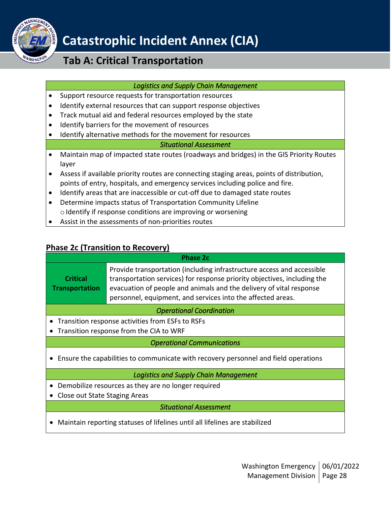

### **Tab A: Critical Transportation**

#### *Logistics and Supply Chain Management*

- Support resource requests for transportation resources
- Identify external resources that can support response objectives
- Track mutual aid and federal resources employed by the state
- Identify barriers for the movement of resources
- Identify alternative methods for the movement for resources

#### *Situational Assessment*

- Maintain map of impacted state routes (roadways and bridges) in the GIS Priority Routes layer
- Assess if available priority routes are connecting staging areas, points of distribution, points of entry, hospitals, and emergency services including police and fire.
- Identify areas that are inaccessible or cut-off due to damaged state routes
- Determine impacts status of Transportation Community Lifeline  $\circ$  Identify if response conditions are improving or worsening
- Assist in the assessments of non-priorities routes

### <span id="page-27-0"></span>**Phase 2c (Transition to Recovery)**

|                                                                                     | Phase 2c                                                                                                                                                                                                                                                                                 |  |  |  |
|-------------------------------------------------------------------------------------|------------------------------------------------------------------------------------------------------------------------------------------------------------------------------------------------------------------------------------------------------------------------------------------|--|--|--|
| <b>Critical</b><br><b>Transportation</b>                                            | Provide transportation (including infrastructure access and accessible<br>transportation services) for response priority objectives, including the<br>evacuation of people and animals and the delivery of vital response<br>personnel, equipment, and services into the affected areas. |  |  |  |
|                                                                                     | <b>Operational Coordination</b>                                                                                                                                                                                                                                                          |  |  |  |
|                                                                                     | Transition response activities from ESFs to RSFs                                                                                                                                                                                                                                         |  |  |  |
| Transition response from the CIA to WRF<br>$\bullet$                                |                                                                                                                                                                                                                                                                                          |  |  |  |
| <b>Operational Communications</b>                                                   |                                                                                                                                                                                                                                                                                          |  |  |  |
| Ensure the capabilities to communicate with recovery personnel and field operations |                                                                                                                                                                                                                                                                                          |  |  |  |
| <b>Logistics and Supply Chain Management</b>                                        |                                                                                                                                                                                                                                                                                          |  |  |  |
| Demobilize resources as they are no longer required<br>$\bullet$                    |                                                                                                                                                                                                                                                                                          |  |  |  |
| Close out State Staging Areas                                                       |                                                                                                                                                                                                                                                                                          |  |  |  |
|                                                                                     | <b>Situational Assessment</b>                                                                                                                                                                                                                                                            |  |  |  |

• Maintain reporting statuses of lifelines until all lifelines are stabilized